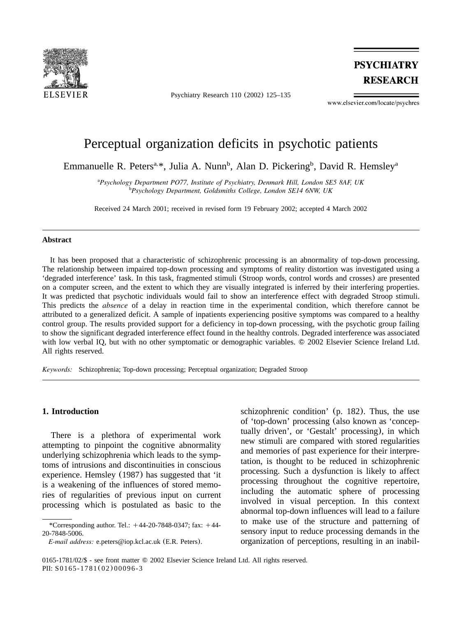

Psychiatry Research 110 (2002) 125–135

**PSYCHIATRY RESEARCH** 

www.elsevier.com/locate/psychres

## Perceptual organization deficits in psychotic patients

Emmanuelle R. Peters<sup>a, \*</sup>, Julia A. Nunn<sup>b</sup>, Alan D. Pickering<sup>b</sup>, David R. Hemsley<sup>a</sup>

*Psychology Department PO77, Institute of Psychiatry, Denmark Hill, London SE5 8AF, UK* <sup>a</sup> *Psychology Department, Goldsmiths College, London SE14 6NW, UK* <sup>b</sup>

Received 24 March 2001; received in revised form 19 February 2002; accepted 4 March 2002

## **Abstract**

It has been proposed that a characteristic of schizophrenic processing is an abnormality of top-down processing. The relationship between impaired top-down processing and symptoms of reality distortion was investigated using a 'degraded interference' task. In this task, fragmented stimuli (Stroop words, control words and crosses) are presented on a computer screen, and the extent to which they are visually integrated is inferred by their interfering properties. It was predicted that psychotic individuals would fail to show an interference effect with degraded Stroop stimuli. This predicts the *absence* of a delay in reaction time in the experimental condition, which therefore cannot be attributed to a generalized deficit. A sample of inpatients experiencing positive symptoms was compared to a healthy control group. The results provided support for a deficiency in top-down processing, with the psychotic group failing to show the significant degraded interference effect found in the healthy controls. Degraded interference was associated with low verbal IQ, but with no other symptomatic or demographic variables.  $© 2002$  Elsevier Science Ireland Ltd. All rights reserved.

*Keywords:* Schizophrenia; Top-down processing; Perceptual organization; Degraded Stroop

## **1. Introduction**

There is a plethora of experimental work attempting to pinpoint the cognitive abnormality underlying schizophrenia which leads to the symptoms of intrusions and discontinuities in conscious experience. Hemsley (1987) has suggested that 'it is a weakening of the influences of stored memories of regularities of previous input on current processing which is postulated as basic to the

schizophrenic condition' (p. 182). Thus, the use of 'top-down' processing (also known as 'conceptually driven', or 'Gestalt' processing), in which new stimuli are compared with stored regularities and memories of past experience for their interpretation, is thought to be reduced in schizophrenic processing. Such a dysfunction is likely to affect processing throughout the cognitive repertoire, including the automatic sphere of processing involved in visual perception. In this context abnormal top-down influences will lead to a failure to make use of the structure and patterning of sensory input to reduce processing demands in the organization of perceptions, resulting in an inabil-

<sup>\*</sup>Corresponding author. Tel.:  $+44-20-7848-0347$ ; fax:  $+44-$ 20-7848-5006.

*E-mail address:* e.peters@iop.kcl.ac.uk (E.R. Peters).

<sup>0165-1781/02/\$ -</sup> see front matter © 2002 Elsevier Science Ireland Ltd. All rights reserved. PII:  $S0165 - 1781(02)00096 - 3$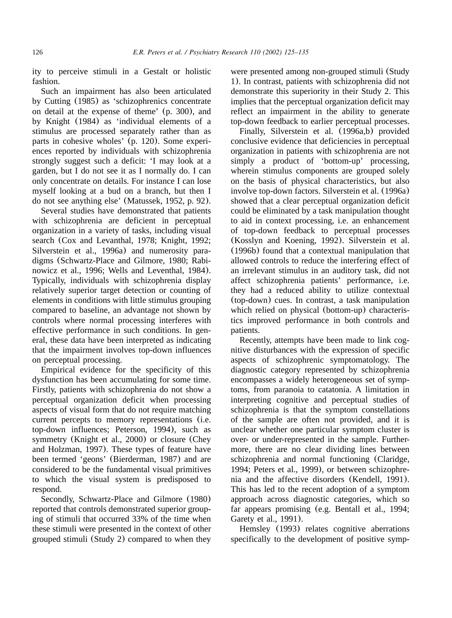ity to perceive stimuli in a Gestalt or holistic fashion.

Such an impairment has also been articulated by Cutting (1985) as 'schizophrenics concentrate on detail at the expense of theme' (p. 300), and by Knight (1984) as 'individual elements of a stimulus are processed separately rather than as parts in cohesive wholes' (p. 120). Some experiences reported by individuals with schizophrenia strongly suggest such a deficit: 'Imay look at a garden, but Ido not see it as Inormally do. Ican only concentrate on details. For instance Ican lose myself looking at a bud on a branch, but then I do not see anything else' (Matussek, 1952, p. 92).

Several studies have demonstrated that patients with schizophrenia are deficient in perceptual organization in a variety of tasks, including visual search (Cox and Levanthal, 1978; Knight, 1992; Silverstein et al., 1996a) and numerosity paradigms (Schwartz-Place and Gilmore, 1980; Rabinowicz et al., 1996; Wells and Leventhal, 1984). Typically, individuals with schizophrenia display relatively superior target detection or counting of elements in conditions with little stimulus grouping compared to baseline, an advantage not shown by controls where normal processing interferes with effective performance in such conditions. In general, these data have been interpreted as indicating that the impairment involves top-down influences on perceptual processing.

Empirical evidence for the specificity of this dysfunction has been accumulating for some time. Firstly, patients with schizophrenia do not show a perceptual organization deficit when processing aspects of visual form that do not require matching current percepts to memory representations (i.e. top-down influences; Peterson, 1994), such as symmetry (Knight et al., 2000) or closure (Chey and Holzman, 1997). These types of feature have been termed 'geons' (Bierderman, 1987) and are considered to be the fundamental visual primitives to which the visual system is predisposed to respond.

Secondly, Schwartz-Place and Gilmore (1980) reported that controls demonstrated superior grouping of stimuli that occurred 33% of the time when these stimuli were presented in the context of other grouped stimuli (Study 2) compared to when they were presented among non-grouped stimuli (Study 1). In contrast, patients with schizophrenia did not demonstrate this superiority in their Study 2. This implies that the perceptual organization deficit may reflect an impairment in the ability to generate top-down feedback to earlier perceptual processes.

Finally, Silverstein et al. (1996a,b) provided conclusive evidence that deficiencies in perceptual organization in patients with schizophrenia are not simply a product of 'bottom-up' processing, wherein stimulus components are grouped solely on the basis of physical characteristics, but also involve top-down factors. Silverstein et al. (1996a) showed that a clear perceptual organization deficit could be eliminated by a task manipulation thought to aid in context processing, i.e. an enhancement of top-down feedback to perceptual processes (Kosslyn and Koening, 1992). Silverstein et al. (1996b) found that a contextual manipulation that allowed controls to reduce the interfering effect of an irrelevant stimulus in an auditory task, did not affect schizophrenia patients' performance, i.e. they had a reduced ability to utilize contextual (top-down) cues. In contrast, a task manipulation which relied on physical (bottom-up) characteristics improved performance in both controls and patients.

Recently, attempts have been made to link cognitive disturbances with the expression of specific aspects of schizophrenic symptomatology. The diagnostic category represented by schizophrenia encompasses a widely heterogeneous set of symptoms, from paranoia to catatonia. A limitation in interpreting cognitive and perceptual studies of schizophrenia is that the symptom constellations of the sample are often not provided, and it is unclear whether one particular symptom cluster is over- or under-represented in the sample. Furthermore, there are no clear dividing lines between schizophrenia and normal functioning (Claridge, 1994; Peters et al., 1999), or between schizophrenia and the affective disorders (Kendell, 1991). This has led to the recent adoption of a symptom approach across diagnostic categories, which so far appears promising (e.g. Bentall et al., 1994; Garety et al., 1991).

Hemsley (1993) relates cognitive aberrations specifically to the development of positive symp-